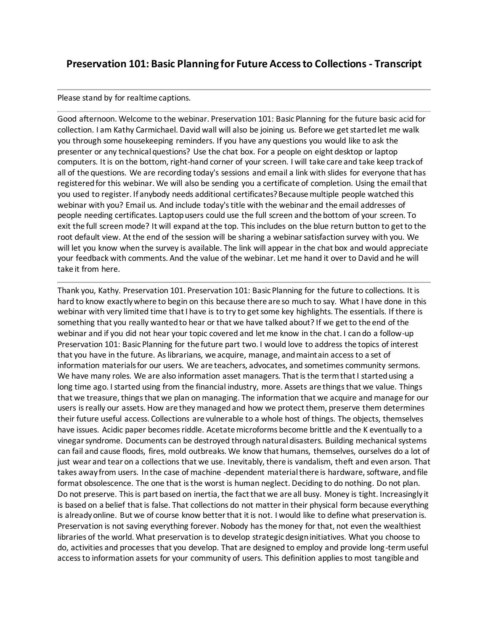# **Preservation 101: Basic Planning for Future Access to Collections - Transcript**

## Please stand by for realtime captions.

Good afternoon. Welcome to the webinar. Preservation 101: Basic Planning for the future basic acid for collection. I am Kathy Carmichael. David wall will also be joining us. Before we get started let me walk you through some housekeeping reminders. If you have any questions you would like to ask the presenter or any technical questions? Use the chat box. For a people on eight desktop or laptop computers. It is on the bottom, right-hand corner of your screen. I will take care and take keep track of all of the questions. We are recording today's sessions and email a link with slides for everyone that has registered for this webinar. We will also be sending you a certificate of completion. Using the email that you used to register. If anybody needs additional certificates? Because multiple people watched this webinar with you? Email us. And include today's title with the webinar and the email addresses of people needing certificates. Laptop users could use the full screen and the bottom of your screen. To exit the full screen mode? It will expand at the top. This includes on the blue return button to get to the root default view. At the end of the session will be sharing a webinar satisfaction survey with you. We will let you know when the survey is available. The link will appear in the chat box and would appreciate your feedback with comments. And the value of the webinar. Let me hand it over to David and he will take it from here.

Thank you, Kathy. Preservation 101. Preservation 101: Basic Planning for the future to collections. It is hard to know exactly where to begin on this because there are so much to say. What I have done in this webinar with very limited time that I have is to try to get some key highlights. The essentials. If there is something that you really wanted to hear or that we have talked about? If we get to the end of the webinar and if you did not hear your topic covered and let me know in the chat. I can do a follow-up Preservation 101: Basic Planning for the future part two. I would love to address the topics of interest that you have in the future. As librarians, we acquire, manage, and maintain access to a set of information materials for our users. We are teachers, advocates, and sometimes community sermons. We have many roles. We are also information asset managers. That is the term that I started using a long time ago. I started using from the financial industry, more. Assets are things that we value. Things that we treasure, things that we plan on managing. The information that we acquire and manage for our users is really our assets. How are they managed and how we protect them, preserve them determines their future useful access. Collections are vulnerable to a whole host of things. The objects, themselves have issues. Acidic paper becomes riddle. Acetate microforms become brittle and the K eventually to a vinegar syndrome. Documents can be destroyed through natural disasters. Building mechanical systems can fail and cause floods, fires, mold outbreaks. We know that humans, themselves, ourselves do a lot of just wear and tear on a collections that we use. Inevitably, there is vandalism, theft and even arson. That takes away from users. In the case of machine -dependent material there is hardware, software, and file format obsolescence. The one that is the worst is human neglect. Deciding to do nothing. Do not plan. Do not preserve. This is part based on inertia, the fact that we are all busy. Money is tight. Increasingly it is based on a belief that is false. That collections do not matter in their physical form because everything is already online. But we of course know better that it is not. I would like to define what preservation is. Preservation is not saving everything forever. Nobody has the money for that, not even the wealthiest libraries of the world. What preservation is to develop strategic design initiatives. What you choose to do, activities and processes that you develop. That are designed to employ and provide long-term useful access to information assets for your community of users. This definition applies to most tangible and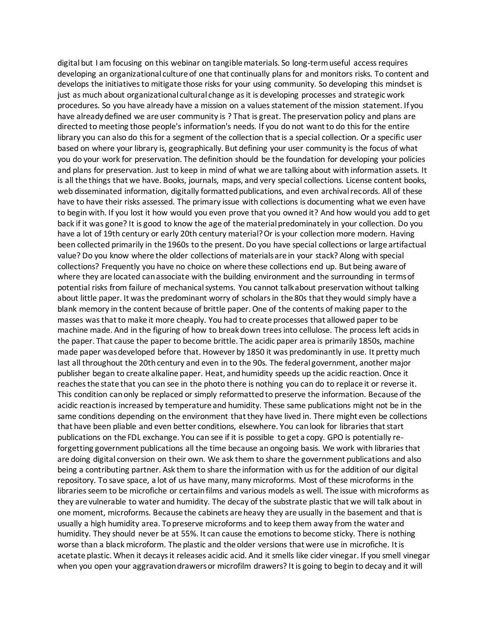digital but I am focusing on this webinar on tangible materials. So long-term useful access requires developing an organizational culture of one that continually plans for and monitors risks. To content and develops the initiatives to mitigate those risks for your using community. So developing this mindset is just as much about organizational cultural change as it is developing processes and strategic work procedures. So you have already have a mission on a values statement of the mission statement. If you have already defined we are user community is ? That is great. The preservation policy and plans are directed to meeting those people's information's needs. If you do not want to do this for the entire library you can also do this for a segment of the collection that is a special collection. Or a specific user based on where your library is, geographically. But defining your user community is the focus of what you do your work for preservation. The definition should be the foundation for developing your policies and plans for preservation. Just to keep in mind of what we are talking about with information assets. It is all the things that we have. Books, journals, maps, and very special collections. License content books, web disseminated information, digitally formatted publications, and even archival records. All of these have to have their risks assessed. The primary issue with collections is documenting what we even have to begin with. If you lost it how would you even prove that you owned it? And how would you add to get back if it was gone? It is good to know the age of the material predominately in your collection. Do you have a lot of 19th century or early 20th century material? Or is your collection more modern. Having been collected primarily in the 1960s to the present. Do you have special collections or large artifactual value? Do you know where the older collections of materials are in your stack? Along with special collections? Frequently you have no choice on where these collections end up. But being aware of where they are located can associate with the building environment and the surrounding in terms of potential risks from failure of mechanical systems. You cannot talk about preservation without talking about little paper. It was the predominant worry of scholars in the 80s that they would simply have a blank memory in the content because of brittle paper. One of the contents of making paper to the masses was that to make it more cheaply. You had to create processes that allowed paper to be machine made. And in the figuring of how to break down trees into cellulose. The process left acids in the paper. That cause the paper to become brittle. The acidic paper area is primarily 1850s, machine made paper was developed before that. However by 1850 it was predominantly in use. It pretty much last all throughout the 20th century and even in to the 90s. The federal government, another major publisher began to create alkaline paper. Heat, and humidity speeds up the acidic reaction. Once it reaches the state that you can see in the photo there is nothing you can do to replace it or reverse it. This condition can only be replaced or simply reformatted to preserve the information. Because of the acidic reaction is increased by temperature and humidity. These same publications might not be in the same conditions depending on the environment that they have lived in. There might even be collections that have been pliable and even better conditions, elsewhere. You can look for libraries that start publications on the FDL exchange. You can see if it is possible to get a copy. GPO is potentially reforgetting government publications all the time because an ongoing basis. We work with libraries that are doing digital conversion on their own. We ask them to share the government publications and also being a contributing partner. Ask them to share the information with us for the addition of our digital repository. To save space, a lot of us have many, many microforms. Most of these microforms in the libraries seem to be microfiche or certain films and various models as well. The issue with microforms as they are vulnerable to water and humidity. The decay of the substrate plastic that we will talk about in one moment, microforms. Because the cabinets are heavy they are usually in the basement and that is usually a high humidity area. To preserve microforms and to keep them away from the water and humidity. They should never be at 55%. It can cause the emotions to become sticky. There is nothing worse than a black microform. The plastic and the older versions that were use in microfiche. It is acetate plastic. When it decays it releases acidic acid. And it smells like cider vinegar. If you smell vinegar when you open your aggravation drawers or microfilm drawers? It is going to begin to decay and it will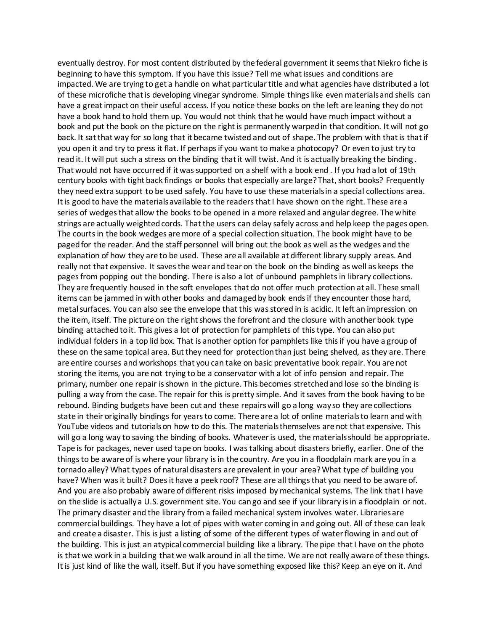eventually destroy. For most content distributed by the federal government it seems that Niekro fiche is beginning to have this symptom. If you have this issue? Tell me what issues and conditions are impacted. We are trying to get a handle on what particular title and what agencies have distributed a lot of these microfiche that is developing vinegar syndrome. Simple things like even materials and shells can have a great impact on their useful access. If you notice these books on the left are leaning they do not have a book hand to hold them up. You would not think that he would have much impact without a book and put the book on the picture on the right is permanently warped in that condition. It will not go back. It sat that way for so long that it became twisted and out of shape. The problem with that is that if you open it and try to press it flat. If perhaps if you want to make a photocopy? Or even to just try to read it. It will put such a stress on the binding that it will twist. And it is actually breaking the binding . That would not have occurred if it was supported on a shelf with a book end . If you had a lot of 19th century books with tight back findings or books that especially are large? That, short books? Frequently they need extra support to be used safely. You have to use these materials in a special collections area. It is good to have the materials available to the readers that I have shown on the right. These are a series of wedges that allow the books to be opened in a more relaxed and angular degree. The white strings are actually weighted cords. That the users can delay safely across and help keep the pages open. The courts in the book wedges are more of a special collection situation. The book might have to be paged for the reader. And the staff personnel will bring out the book as well as the wedges and the explanation of how they are to be used. These are all available at different library supply areas. And really not that expensive. It saves the wear and tear on the book on the binding as well as keeps the pages from popping out the bonding. There is also a lot of unbound pamphlets in library collections. They are frequently housed in the soft envelopes that do not offer much protection at all. These small items can be jammed in with other books and damaged by book ends if they encounter those hard, metal surfaces. You can also see the envelope that this was stored in is acidic. It left an impression on the item, itself. The picture on the right shows the forefront and the closure with another book type binding attached to it. This gives a lot of protection for pamphlets of this type. You can also put individual folders in a top lid box. That is another option for pamphlets like this if you have a group of these on the same topical area. But they need for protection than just being shelved, as they are. There are entire courses and workshops that you can take on basic preventative book repair. You are not storing the items, you are not trying to be a conservator with a lot of info pension and repair. The primary, number one repair is shown in the picture. This becomes stretched and lose so the binding is pulling a way from the case. The repair for this is pretty simple. And it saves from the book having to be rebound. Binding budgets have been cut and these repairs will go a long way so they are collections state in their originally bindings for years to come. There are a lot of online materials to learn and with YouTube videos and tutorials on how to do this. The materials themselves are not that expensive. This will go a long way to saving the binding of books. Whatever is used, the materials should be appropriate. Tape is for packages, never used tape on books. I was talking about disasters briefly, earlier. One of the things to be aware of is where your library is in the country. Are you in a floodplain mark are you in a tornado alley? What types of natural disasters are prevalent in your area? What type of building you have? When was it built? Does it have a peek roof? These are all things that you need to be aware of. And you are also probably aware of different risks imposed by mechanical systems. The link that I have on the slide is actually a U.S. government site. You can go and see if your library is in a floodplain or not. The primary disaster and the library from a failed mechanical system involves water. Libraries are commercial buildings. They have a lot of pipes with water coming in and going out. All of these can leak and create a disaster. This is just a listing of some of the different types of water flowing in and out of the building. This is just an atypical commercial building like a library. The pipe that I have on the photo is that we work in a building that we walk around in all the time. We are not really aware of these things. It is just kind of like the wall, itself. But if you have something exposed like this? Keep an eye on it. And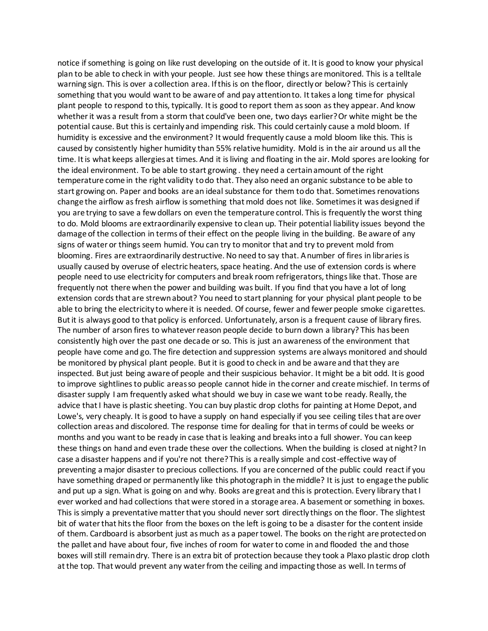notice if something is going on like rust developing on the outside of it. It is good to know your physical plan to be able to check in with your people. Just see how these things are monitored. This is a telltale warning sign. This is over a collection area. If this is on the floor, directly or below? This is certainly something that you would want to be aware of and pay attention to. It takes a long time for physical plant people to respond to this, typically. It is good to report them as soon as they appear. And know whether it was a result from a storm that could've been one, two days earlier? Or white might be the potential cause. But this is certainly and impending risk. This could certainly cause a mold bloom. If humidity is excessive and the environment? It would frequently cause a mold bloom like this. This is caused by consistently higher humidity than 55% relative humidity. Mold is in the air around us all the time. It is what keeps allergies at times. And it is living and floating in the air. Mold spores are looking for the ideal environment. To be able to start growing . they need a certain amount of the right temperature come in the right validity to do that. They also need an organic substance to be able to start growing on. Paper and books are an ideal substance for them to do that. Sometimes renovations change the airflow as fresh airflow is something that mold does not like. Sometimes it was designed if you are trying to save a few dollars on even the temperature control. This is frequently the worst thing to do. Mold blooms are extraordinarily expensive to clean up. Their potential liability issues beyond the damage of the collection in terms of their effect on the people living in the building. Be aware of any signs of water or things seem humid. You can try to monitor that and try to prevent mold from blooming. Fires are extraordinarily destructive. No need to say that. A number of fires in libraries is usually caused by overuse of electric heaters, space heating. And the use of extension cords is where people need to use electricity for computers and break room refrigerators, things like that. Those are frequently not there when the power and building was built. If you find that you have a lot of long extension cords that are strewn about? You need to start planning for your physical plant people to be able to bring the electricity to where it is needed. Of course, fewer and fewer people smoke cigarettes. But it is always good to that policy is enforced. Unfortunately, arson is a frequent cause of library fires. The number of arson fires to whatever reason people decide to burn down a library? This has been consistently high over the past one decade or so. This is just an awareness of the environment that people have come and go. The fire detection and suppression systems are always monitored and should be monitored by physical plant people. But it is good to check in and be aware and that they are inspected. But just being aware of people and their suspicious behavior. It might be a bit odd. It is good to improve sightlines to public areas so people cannot hide in the corner and create mischief. In terms of disaster supply I am frequently asked what should we buy in case we want to be ready. Really, the advice that I have is plastic sheeting. You can buy plastic drop cloths for painting at Home Depot, and Lowe's, very cheaply. It is good to have a supply on hand especially if you see ceiling tiles that are over collection areas and discolored. The response time for dealing for that in terms of could be weeks or months and you want to be ready in case that is leaking and breaks into a full shower. You can keep these things on hand and even trade these over the collections. When the building is closed at night? In case a disaster happens and if you're not there? This is a really simple and cost-effective way of preventing a major disaster to precious collections. If you are concerned of the public could react if you have something draped or permanently like this photograph in the middle? It is just to engage the public and put up a sign. What is going on and why. Books are great and this is protection. Every library that I ever worked and had collections that were stored in a storage area. A basement or something in boxes. This is simply a preventative matter that you should never sort directly things on the floor. The slightest bit of water that hits the floor from the boxes on the left is going to be a disaster for the content inside of them. Cardboard is absorbent just as much as a paper towel. The books on the right are protected on the pallet and have about four, five inches of room for water to come in and flooded the and those boxes will still remain dry. There is an extra bit of protection because they took a Plaxo plastic drop cloth at the top. That would prevent any water from the ceiling and impacting those as well. In terms of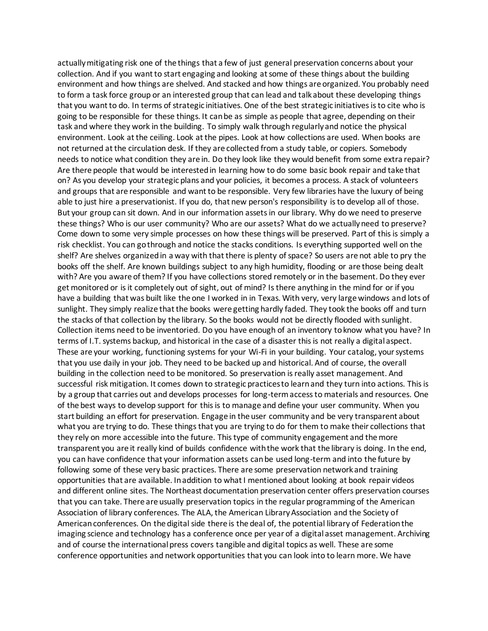actually mitigating risk one of the things that a few of just general preservation concerns about your collection. And if you want to start engaging and looking at some of these things about the building environment and how things are shelved. And stacked and how things are organized. You probably need to form a task force group or an interested group that can lead and talk about these developing things that you want to do. In terms of strategic initiatives. One of the best strategic initiatives is to cite who is going to be responsible for these things. It can be as simple as people that agree, depending on their task and where they work in the building. To simply walk through regularly and notice the physical environment. Look at the ceiling. Look at the pipes. Look at how collections are used. When books are not returned at the circulation desk. If they are collected from a study table, or copiers. Somebody needs to notice what condition they are in. Do they look like they would benefit from some extra repair? Are there people that would be interested in learning how to do some basic book repair and take that on? As you develop your strategic plans and your policies, it becomes a process. A stack of volunteers and groups that are responsible and want to be responsible. Very few libraries have the luxury of being able to just hire a preservationist. If you do, that new person's responsibility is to develop all of those. But your group can sit down. And in our information assets in our library. Why do we need to preserve these things? Who is our user community? Who are our assets? What do we actually need to preserve? Come down to some very simple processes on how these things will be preserved. Part of this is simply a risk checklist. You can go through and notice the stacks conditions. Is everything supported well on the shelf? Are shelves organized in a way with that there is plenty of space? So users are not able to pry the books off the shelf. Are known buildings subject to any high humidity, flooding or are those being dealt with? Are you aware of them? If you have collections stored remotely or in the basement. Do they ever get monitored or is it completely out of sight, out of mind? Is there anything in the mind for or if you have a building that was built like the one I worked in in Texas. With very, very large windows and lots of sunlight. They simply realize that the books were getting hardly faded. They took the books off and turn the stacks of that collection by the library. So the books would not be directly flooded with sunlight. Collection items need to be inventoried. Do you have enough of an inventory to know what you have? In terms of I.T. systems backup, and historical in the case of a disaster this is not really a digital aspect. These are your working, functioning systems for your Wi-Fi in your building. Your catalog, your systems that you use daily in your job. They need to be backed up and historical. And of course, the overall building in the collection need to be monitored. So preservation is really asset management. And successful risk mitigation. It comes down to strategic practices to learn and they turn into actions. This is by a group that carries out and develops processes for long-term access to materials and resources. One of the best ways to develop support for this is to manage and define your user community. When you start building an effort for preservation. Engage in the user community and be very transparent about what you are trying to do. These things that you are trying to do for them to make their collections that they rely on more accessible into the future. This type of community engagement and the more transparent you are it really kind of builds confidence with the work that the library is doing. In the end, you can have confidence that your information assets can be used long-term and into the future by following some of these very basic practices. There are some preservation network and training opportunities that are available. In addition to what I mentioned about looking at book repair videos and different online sites. The Northeast documentation preservation center offers preservation courses that you can take. There are usually preservation topics in the regular programming of the American Association of library conferences. The ALA, the American Library Association and the Society of American conferences. On the digital side there is the deal of, the potential library of Federation the imaging science and technology has a conference once per year of a digital asset management. Archiving and of course the international press covers tangible and digital topics as well. These are some conference opportunities and network opportunities that you can look into to learn more. We have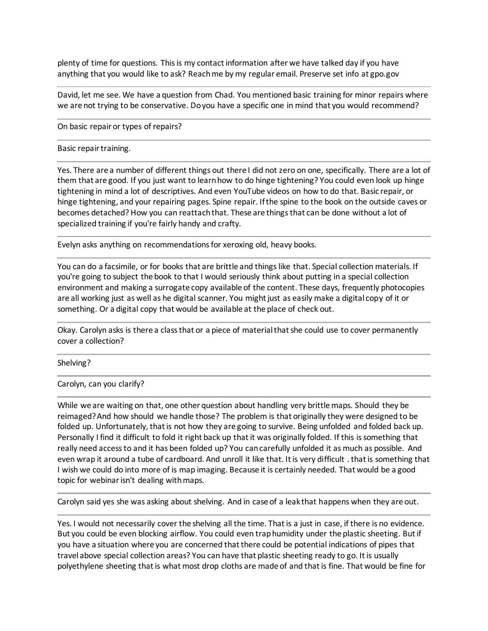plenty of time for questions. This is my contact information after we have talked day if you have anything that you would like to ask? Reach me by my regular email. Preserve set info at gpo.gov

David, let me see. We have a question from Chad. You mentioned basic training for minor repairs where we are not trying to be conservative. Do you have a specific one in mind that you would recommend?

On basic repair or types of repairs?

#### Basic repair training.

Yes. There are a number of different things out there I did not zero on one, specifically. There are a lot of them that are good. If you just want to learn how to do hinge tightening? You could even look up hinge tightening in mind a lot of descriptives. And even YouTube videos on how to do that. Basic repair, or hinge tightening, and your repairing pages. Spine repair. If the spine to the book on the outside caves or becomes detached? How you can reattach that. These are things that can be done without a lot of specialized training if you're fairly handy and crafty.

Evelyn asks anything on recommendations for xeroxing old, heavy books.

You can do a facsimile, or for books that are brittle and things like that. Special collection materials. If you're going to subject the book to that I would seriously think about putting in a special collection environment and making a surrogate copy available of the content. These days, frequently photocopies are all working just as well as he digital scanner. You might just as easily make a digital copy of it or something. Or a digital copy that would be available at the place of check out.

Okay. Carolyn asks is there a class that or a piece of material that she could use to cover permanently cover a collection?

### Shelving?

Carolyn, can you clarify?

While we are waiting on that, one other question about handling very brittle maps. Should they be reimaged? And how should we handle those? The problem is that originally they were designed to be folded up. Unfortunately, that is not how they are going to survive. Being unfolded and folded back up. Personally I find it difficult to fold it right back up that it was originally folded. If this is something that really need access to and it has been folded up? You can carefully unfolded it as much as possible. And even wrap it around a tube of cardboard. And unroll it like that. It is very difficult . that is something that I wish we could do into more of is map imaging. Because it is certainly needed. That would be a good topic for webinar isn't dealing with maps.

Carolyn said yes she was asking about shelving. And in case of a leak that happens when they are out.

Yes. I would not necessarily cover the shelving all the time. That is a just in case, if there is no evidence. But you could be even blocking airflow. You could even trap humidity under the plastic sheeting. But if you have a situation where you are concerned that there could be potential indications of pipes that travel above special collection areas? You can have that plastic sheeting ready to go. It is usually polyethylene sheeting that is what most drop cloths are made of and that is fine. That would be fine for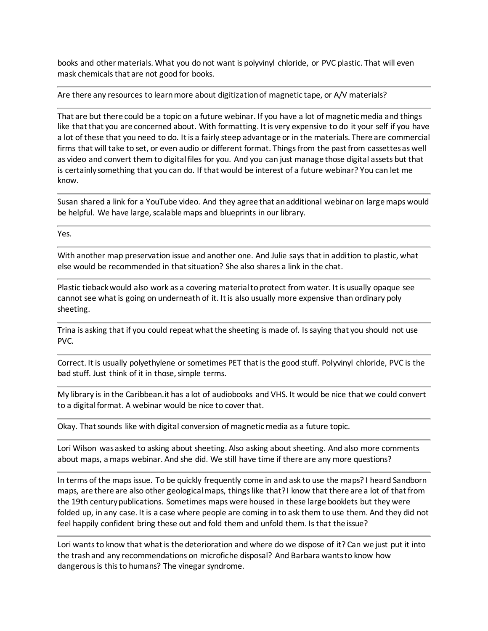books and other materials. What you do not want is polyvinyl chloride, or PVC plastic. That will even mask chemicals that are not good for books.

Are there any resources to learn more about digitization of magnetic tape, or A/V materials?

That are but there could be a topic on a future webinar. If you have a lot of magnetic media and things like that that you are concerned about. With formatting. It is very expensive to do it your self if you have a lot of these that you need to do. It is a fairly steep advantage or in the materials. There are commercial firms that will take to set, or even audio or different format. Things from the past from cassettes as well as video and convert them to digital files for you. And you can just manage those digital assets but that is certainly something that you can do. If that would be interest of a future webinar? You can let me know.

Susan shared a link for a YouTube video. And they agree that an additional webinar on large maps would be helpful. We have large, scalable maps and blueprints in our library.

Yes.

With another map preservation issue and another one. And Julie says that in addition to plastic, what else would be recommended in that situation? She also shares a link in the chat.

Plastic tieback would also work as a covering material to protect from water. It is usually opaque see cannot see what is going on underneath of it. It is also usually more expensive than ordinary poly sheeting.

Trina is asking that if you could repeat what the sheeting is made of. Is saying that you should not use PVC.

Correct. It is usually polyethylene or sometimes PET that is the good stuff. Polyvinyl chloride, PVC is the bad stuff. Just think of it in those, simple terms.

My library is in the Caribbean.it has a lot of audiobooks and VHS. It would be nice that we could convert to a digital format. A webinar would be nice to cover that.

Okay. That sounds like with digital conversion of magnetic media as a future topic.

Lori Wilson was asked to asking about sheeting. Also asking about sheeting. And also more comments about maps, a maps webinar. And she did. We still have time if there are any more questions?

In terms of the maps issue. To be quickly frequently come in and ask to use the maps? I heard Sandborn maps, are there are also other geological maps, things like that? I know that there are a lot of that from the 19th century publications. Sometimes maps were housed in these large booklets but they were folded up, in any case. It is a case where people are coming in to ask them to use them. And they did not feel happily confident bring these out and fold them and unfold them. Is that the issue?

Lori wants to know that what is the deterioration and where do we dispose of it? Can we just put it into the trash and any recommendations on microfiche disposal? And Barbara wants to know how dangerous is this to humans? The vinegar syndrome.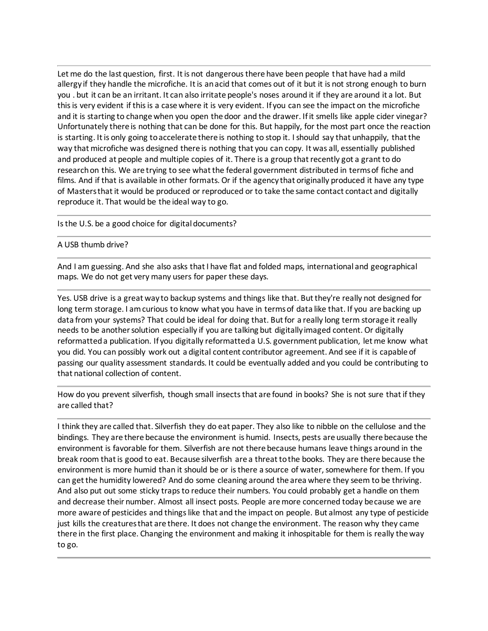Let me do the last question, first. It is not dangerous there have been people that have had a mild allergy if they handle the microfiche. It is an acid that comes out of it but it is not strong enough to burn you . but it can be an irritant. It can also irritate people's noses around it if they are around it a lot. But this is very evident if this is a case where it is very evident. If you can see the impact on the microfiche and it is starting to change when you open the door and the drawer. If it smells like apple cider vinegar? Unfortunately there is nothing that can be done for this. But happily, for the most part once the reaction is starting. It is only going to accelerate there is nothing to stop it. I should say that unhappily, that the way that microfiche was designed there is nothing that you can copy. It was all, essentially published and produced at people and multiple copies of it. There is a group that recently got a grant to do research on this. We are trying to see what the federal government distributed in terms of fiche and films. And if that is available in other formats. Or if the agency that originally produced it have any type of Masters that it would be produced or reproduced or to take the same contact contact and digitally reproduce it. That would be the ideal way to go.

Is the U.S. be a good choice for digital documents?

## A USB thumb drive?

And I am guessing. And she also asks that I have flat and folded maps, international and geographical maps. We do not get very many users for paper these days.

Yes. USB drive is a great way to backup systems and things like that. But they're really not designed for long term storage. I am curious to know what you have in terms of data like that. If you are backing up data from your systems? That could be ideal for doing that. But for a really long term storage it really needs to be another solution especially if you are talking but digitally imaged content. Or digitally reformatted a publication. If you digitally reformatted a U.S. government publication, let me know what you did. You can possibly work out a digital content contributor agreement. And see if it is capable of passing our quality assessment standards. It could be eventually added and you could be contributing to that national collection of content.

How do you prevent silverfish, though small insects that are found in books? She is not sure that if they are called that?

I think they are called that. Silverfish they do eat paper. They also like to nibble on the cellulose and the bindings. They are there because the environment is humid. Insects, pests are usually there because the environment is favorable for them. Silverfish are not there because humans leave things around in the break room that is good to eat. Because silverfish are a threat to the books. They are there because the environment is more humid than it should be or is there a source of water, somewhere for them. If you can get the humidity lowered? And do some cleaning around the area where they seem to be thriving. And also put out some sticky traps to reduce their numbers. You could probably get a handle on them and decrease their number. Almost all insect posts. People are more concerned today because we are more aware of pesticides and things like that and the impact on people. But almost any type of pesticide just kills the creatures that are there. It does not change the environment. The reason why they came there in the first place. Changing the environment and making it inhospitable for them is really the way to go.